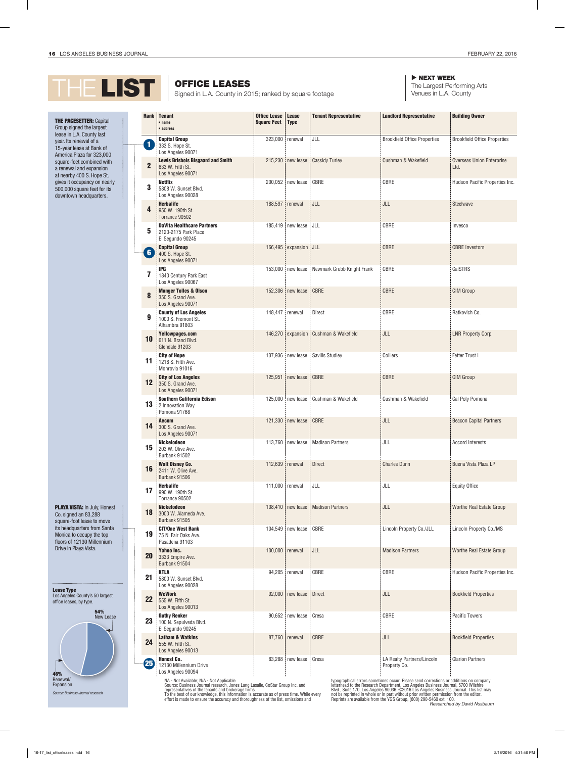

## **THE PACESETTER: Capital** Group signed the largest lease in L.A. County last year. Its renewal of a 15-year lease at Bank of America Plaza for 323,000 square-feet combined with a renewal and expansion at nearby 400 S. Hope St. gives it occupancy on nearly 500,000 square feet for its downtown headquarters.

PLAYA VISTA: In July, Honest Co. signed an 83,288 square-foot lease to move its headquarters from Santa Monica to occupy the top floors of 12130 Millennium Drive in Playa Vista.



OFFICE LEASES NEXT WEEK

The Largest Performing Arts Venues in L.A. County

|                   | <b>Rank</b> Tenant<br>$•$ name                                                    | <b>Office Lease</b><br><b>Square Feet</b> | <b>Lease</b><br><b>Type</b> | <b>Tenant Representative</b> | <b>Landlord Representative</b>             | <b>Building Owner</b>                    |
|-------------------|-----------------------------------------------------------------------------------|-------------------------------------------|-----------------------------|------------------------------|--------------------------------------------|------------------------------------------|
|                   | • address                                                                         |                                           |                             |                              |                                            |                                          |
| $\blacksquare$    | <b>Capital Group</b><br>333 S. Hope St.<br>Los Angeles 90071                      | 323,000 renewal                           |                             | JLL                          | <b>Brookfield Office Properties</b>        | <b>Brookfield Office Properties</b>      |
| $\overline{2}$    | <b>Lewis Brisbois Bisgaard and Smith</b><br>633 W. Fifth St.<br>Los Angeles 90071 |                                           | 215,230 new lease           | <b>Cassidy Turley</b>        | Cushman & Wakefield                        | <b>Overseas Union Enterprise</b><br>Ltd. |
| 3                 | <b>Netflix</b><br>5808 W. Sunset Blvd.<br>Los Angeles 90028                       |                                           | 200,052 new lease           | CBRE                         | CBRE                                       | Hudson Pacific Properties Inc.           |
| 4                 | <b>Herbalife</b><br>950 W. 190th St.<br>Torrance 90502                            | 188,597                                   | renewal                     | JLL                          | JLL                                        | Steelwave                                |
| 5                 | <b>DaVita Healthcare Partners</b><br>2120-2175 Park Place<br>El Segundo 90245     |                                           | 185,419 new lease           | JLL                          | CBRE                                       | Invesco                                  |
| $\left( 6\right)$ | <b>Capital Group</b><br>400 S. Hope St.<br>Los Angeles 90071                      |                                           | 166,495 expansion           | JLL                          | CBRE                                       | <b>CBRE</b> Investors                    |
| 7                 | <b>IPG</b><br>1840 Century Park East<br>Los Angeles 90067                         |                                           | 153,000 new lease           | Newmark Grubb Knight Frank   | CBRE                                       | CalSTRS                                  |
| 8                 | <b>Munger Tolles &amp; Olson</b><br>350 S. Grand Ave.<br>Los Angeles 90071        |                                           | 152,306 new lease           | CBRE                         | CBRE                                       | <b>CIM Group</b>                         |
| 9                 | <b>County of Los Angeles</b><br>1000 S. Fremont St.<br>Alhambra 91803             | 148,447                                   | renewal                     | Direct                       | CBRE                                       | Ratkovich Co.                            |
| 10                | Yellowpages.com<br>611 N. Brand Blvd.<br>Glendale 91203                           |                                           | 146,270 expansion           | Cushman & Wakefield          | JLL                                        | LNR Property Corp.                       |
| 11                | <b>City of Hope</b><br>1218 S. Fifth Ave.<br>Monrovia 91016                       |                                           | 137,936 new lease           | Savills Studley              | Colliers                                   | Fetter Trust I                           |
| 12                | <b>City of Los Angeles</b><br>350 S. Grand Ave.<br>Los Angeles 90071              | 125,951                                   | new lease                   | CBRE                         | <b>CBRE</b>                                | <b>CIM Group</b>                         |
| 13                | <b>Southern California Edison</b><br>2 Innovation Way<br>Pomona 91768             |                                           | 125,000 new lease           | Cushman & Wakefield          | Cushman & Wakefield                        | Cal Poly Pomona                          |
| 14                | <b>Aecom</b><br>300 S. Grand Ave.<br>Los Angeles 90071                            |                                           | 121,330 new lease           | CBRE                         | JLL                                        | <b>Beacon Capital Partners</b>           |
| 15                | <b>Nickelodeon</b><br>203 W. Olive Ave.<br>Burbank 91502                          |                                           | 113,760 new lease           | <b>Madison Partners</b>      | JLL                                        | <b>Accord Interests</b>                  |
| 16                | <b>Walt Disney Co.</b><br>2411 W. Olive Ave.<br>Burbank 91506                     | 112,639                                   | renewal                     | <b>Direct</b>                | <b>Charles Dunn</b>                        | Buena Vista Plaza LP                     |
| 17                | <b>Herbalife</b><br>990 W. 190th St.<br>Torrance 90502                            | 111,000 renewal                           |                             | JLL                          | JLL                                        | <b>Equity Office</b>                     |
| 18                | <b>Nickelodeon</b><br>3000 W. Alameda Ave.<br>Burbank 91505                       |                                           | 108,410 new lease           | <b>Madison Partners</b>      | JLL                                        | Worthe Real Estate Group                 |
| 19                | <b>CIT/One West Bank</b><br>75 N. Fair Oaks Ave.<br>Pasadena 91103                |                                           | 104,549 new lease           | CBRE                         | Lincoln Property Co./JLL                   | Lincoln Property Co./MS                  |
| <b>20</b>         | Yahoo Inc.<br>3333 Empire Ave.<br>Burbank 91504                                   | 100,000                                   | renewal                     | JLL                          | <b>Madison Partners</b>                    | Worthe Real Estate Group                 |
| 21                | <b>KTLA</b><br>5800 W. Sunset Blvd.<br>Los Angeles 90028                          |                                           | 94,205 renewal              | CBRE                         | CBRE                                       | Hudson Pacific Properties Inc.           |
| 22                | <b>WeWork</b><br>555 W. Fifth St.<br>Los Angeles 90013                            |                                           | 92,000   new lease          | <b>Direct</b>                | JLL                                        | <b>Bookfield Properties</b>              |
| 23                | <b>Guthy Renker</b><br>100 N. Sepulveda Blvd.<br>El Segundo 90245                 |                                           | 90,652 new lease            | Cresa                        | CBRE                                       | <b>Pacific Towers</b>                    |
| 24                | <b>Latham &amp; Watkins</b><br>555 W. Fifth St.<br>Los Angeles 90013              |                                           | 87,760 renewal              | CBRE                         | JLL                                        | <b>Bookfield Properties</b>              |
| 25                | <b>Honest Co.</b><br>12130 Millennium Drive<br>Los Angeles 90094                  |                                           | 83,288   new lease          | Cresa                        | LA Realty Partners/Lincoln<br>Property Co. | <b>Clarion Partners</b>                  |

NA - Not Available; N/A - Not Applicable Source: Business Journal research, Jones Lang Lasalle, CoStar Group Inc. and representatives of the tenants and brokerage firms. To the best of our knowledge, this information is accurate as of press time. While every effort is made to ensure the accuracy and thoroughness of the list, omissions and typographical errors sometimes occur. Please send corrections or additions on company<br>letterhead to the Research Department, Los Angeles Business Journal, 5700 Wilshire<br>Blvd., Suite 170, Los Angeles 90036. ©2016 Los Angele not be reprinted in whole or in part without prior written permission from the editor. Reprints are available from the YGS Group, (800) 290-5460 ext. 100. *Researched by David Nusbaum*